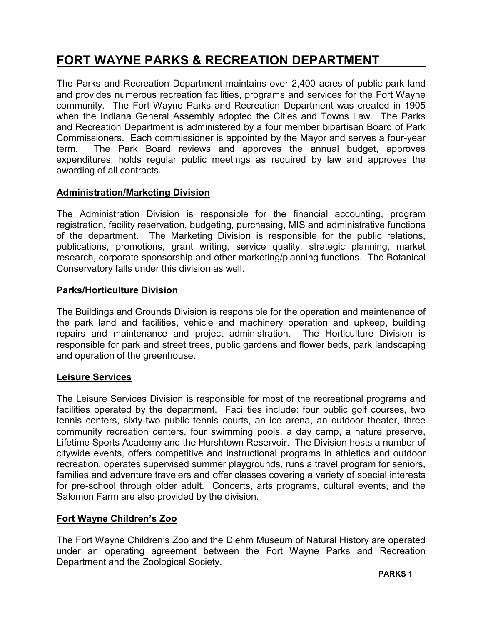# FORT WAYNE PARKS & RECREATION DEPARTMENT

The Parks and Recreation Department maintains over 2,400 acres of public park land and provides numerous recreation facilities, programs and services for the Fort Wayne community. The Fort Wayne Parks and Recreation Department was created in 1905 when the Indiana General Assembly adopted the Cities and Towns Law. The Parks and Recreation Department is administered by a four member bipartisan Board of Park Commissioners. Each commissioner is appointed by the Mayor and serves a four-year term. The Park Board reviews and approves the annual budget, approves expenditures, holds regular public meetings as required by law and approves the awarding of all contracts.

### Administration/Marketing Division

The Administration Division is responsible for the financial accounting, program registration, facility reservation, budgeting, purchasing, MIS and administrative functions of the department. The Marketing Division is responsible for the public relations, publications, promotions, grant writing, service quality, strategic planning, market research, corporate sponsorship and other marketing/planning functions. The Botanical Conservatory falls under this division as well.

### Parks/Horticulture Division

The Buildings and Grounds Division is responsible for the operation and maintenance of the park land and facilities, vehicle and machinery operation and upkeep, building repairs and maintenance and project administration. The Horticulture Division is responsible for park and street trees, public gardens and flower beds, park landscaping and operation of the greenhouse.

### Leisure Services

The Leisure Services Division is responsible for most of the recreational programs and facilities operated by the department. Facilities include: four public golf courses, two tennis centers, sixty-two public tennis courts, an ice arena, an outdoor theater, three community recreation centers, four swimming pools, a day camp, a nature preserve, Lifetime Sports Academy and the Hurshtown Reservoir. The Division hosts a number of citywide events, offers competitive and instructional programs in athletics and outdoor recreation, operates supervised summer playgrounds, runs a travel program for seniors, families and adventure travelers and offer classes covering a variety of special interests for pre-school through older adult. Concerts, arts programs, cultural events, and the Salomon Farm are also provided by the division.

### Fort Wayne Children's Zoo

The Fort Wayne Children's Zoo and the Diehm Museum of Natural History are operated under an operating agreement between the Fort Wayne Parks and Recreation Department and the Zoological Society.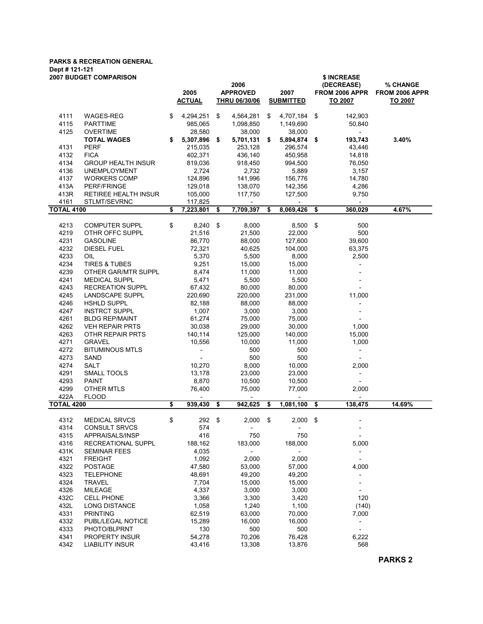# PARKS & RECREATION GENERAL Dept # 121-121

| <b>2007 BUDGET COMPARISON</b> |                                   |    |                          |      |                          | \$ INCREASE              |                          |      |                          |                |  |  |  |  |
|-------------------------------|-----------------------------------|----|--------------------------|------|--------------------------|--------------------------|--------------------------|------|--------------------------|----------------|--|--|--|--|
|                               |                                   |    |                          |      | 2006                     |                          |                          |      | (DECREASE)               | % CHANGE       |  |  |  |  |
|                               |                                   |    | 2005                     |      | <b>APPROVED</b>          | 2007<br><b>SUBMITTED</b> |                          |      | FROM 2006 APPR           | FROM 2006 APPR |  |  |  |  |
|                               |                                   |    | <b>ACTUAL</b>            |      | <b>THRU 06/30/06</b>     |                          |                          |      | TO 2007                  | TO 2007        |  |  |  |  |
|                               |                                   |    |                          |      |                          |                          |                          |      |                          |                |  |  |  |  |
| 4111                          | WAGES-REG                         | \$ | 4,294,251                | \$   | 4,564,281                | \$                       | 4,707,184                | \$   | 142,903                  |                |  |  |  |  |
| 4115                          | <b>PARTTIME</b>                   |    | 985,065                  |      | 1,098,850                |                          | 1,149,690                |      | 50,840                   |                |  |  |  |  |
| 4125                          | <b>OVERTIME</b>                   |    | 28,580                   |      | 38,000                   |                          | 38,000                   |      | $\overline{\phantom{0}}$ |                |  |  |  |  |
|                               | <b>TOTAL WAGES</b>                | \$ | 5,307,896 \$             |      | 5,701,131                | \$                       | 5,894,874 \$             |      | 193,743                  | 3.40%          |  |  |  |  |
| 4131                          | <b>PERF</b>                       |    | 215,035                  |      | 253,128                  |                          | 296,574                  |      | 43,446                   |                |  |  |  |  |
| 4132                          | <b>FICA</b>                       |    | 402,371                  |      | 436,140                  |                          | 450,958                  |      | 14,818                   |                |  |  |  |  |
| 4134                          | <b>GROUP HEALTH INSUR</b>         |    | 819,036                  |      | 918,450                  |                          | 994,500                  |      | 76,050                   |                |  |  |  |  |
| 4136                          | <b>UNEMPLOYMENT</b>               |    | 2,724                    |      | 2,732                    |                          | 5,889                    |      | 3,157                    |                |  |  |  |  |
| 4137                          | <b>WORKERS COMP</b>               |    | 124,896                  |      | 141,996                  |                          | 156,776                  |      | 14,780                   |                |  |  |  |  |
| 413A                          | PERF/FRINGE                       |    | 129,018                  |      | 138,070                  |                          | 142,356                  |      | 4,286                    |                |  |  |  |  |
| 413R                          | RETIREE HEALTH INSUR              |    | 105,000                  |      | 117,750                  |                          | 127,500                  |      | 9,750                    |                |  |  |  |  |
| 4161                          | STLMT/SEVRNC                      |    | 117,825                  |      |                          |                          |                          |      | $\overline{\phantom{a}}$ |                |  |  |  |  |
| <b>TOTAL 4100</b>             |                                   | \$ | 7,223,801                | - \$ | 7,709,397                | \$                       | 8,069,426                | -\$  | 360,029                  | 4.67%          |  |  |  |  |
|                               |                                   |    |                          |      |                          |                          |                          |      |                          |                |  |  |  |  |
| 4213                          | <b>COMPUTER SUPPL</b>             | \$ | $8,240$ \$               |      | 8,000                    |                          | 8,500 \$                 |      | 500                      |                |  |  |  |  |
| 4219                          | OTHR OFFC SUPPL                   |    | 21,516                   |      | 21,500                   |                          | 22,000                   |      | 500                      |                |  |  |  |  |
| 4231                          | <b>GASOLINE</b>                   |    | 86,770                   |      | 88,000                   |                          | 127,600                  |      | 39,600                   |                |  |  |  |  |
| 4232                          | <b>DIESEL FUEL</b>                |    | 72,321                   |      | 40,625                   |                          | 104,000                  |      | 63,375                   |                |  |  |  |  |
| 4233                          | OIL                               |    | 5,370                    |      | 5,500                    |                          | 8,000                    |      | 2,500                    |                |  |  |  |  |
| 4234                          | <b>TIRES &amp; TUBES</b>          |    | 9,251                    |      | 15,000                   |                          | 15,000                   |      |                          |                |  |  |  |  |
| 4239                          | OTHER GAR/MTR SUPPL               |    | 8,474                    |      | 11,000                   |                          | 11,000                   |      |                          |                |  |  |  |  |
| 4241                          | <b>MEDICAL SUPPL</b>              |    | 5,471                    |      | 5,500                    |                          | 5,500                    |      |                          |                |  |  |  |  |
| 4243                          | <b>RECREATION SUPPL</b>           |    | 67,432                   |      | 80,000                   |                          | 80,000                   |      |                          |                |  |  |  |  |
| 4245                          | LANDSCAPE SUPPL                   |    | 220,690                  |      | 220,000                  |                          | 231,000                  |      | 11,000                   |                |  |  |  |  |
| 4246                          | HSHLD SUPPL                       |    | 82,188                   |      | 88,000                   |                          | 88,000                   |      | $\overline{a}$           |                |  |  |  |  |
| 4247                          | <b>INSTRCT SUPPL</b>              |    | 1,007                    |      | 3,000                    |                          | 3,000                    |      |                          |                |  |  |  |  |
| 4261                          | <b>BLDG REP/MAINT</b>             |    | 61,274                   |      | 75,000                   |                          | 75,000                   |      |                          |                |  |  |  |  |
| 4262                          | <b>VEH REPAIR PRTS</b>            |    | 30,038                   |      | 29,000                   |                          | 30,000                   |      | 1,000                    |                |  |  |  |  |
| 4263                          | OTHR REPAIR PRTS                  |    | 140,114                  |      | 125,000                  |                          | 140,000                  |      | 15,000                   |                |  |  |  |  |
| 4271                          | <b>GRAVEL</b>                     |    | 10,556                   |      | 10,000                   |                          | 11,000                   |      | 1,000                    |                |  |  |  |  |
| 4272                          | <b>BITUMINOUS MTLS</b>            |    | $\overline{\phantom{a}}$ |      | 500                      |                          | 500                      |      | $\overline{\phantom{a}}$ |                |  |  |  |  |
| 4273                          | SAND                              |    |                          |      | 500                      |                          | 500                      |      |                          |                |  |  |  |  |
| 4274                          | <b>SALT</b>                       |    | 10,270                   |      | 8,000                    |                          | 10,000                   |      | 2,000                    |                |  |  |  |  |
| 4291                          | SMALL TOOLS                       |    | 13,178                   |      | 23,000                   |                          | 23,000                   |      |                          |                |  |  |  |  |
| 4293                          | <b>PAINT</b>                      |    | 8,870                    |      | 10,500                   |                          | 10,500                   |      |                          |                |  |  |  |  |
| 4299                          | <b>OTHER MTLS</b>                 |    | 76,400                   |      | 75,000                   |                          | 77,000                   |      | 2,000                    |                |  |  |  |  |
| 422A                          | <b>FLOOD</b>                      |    | $\overline{\phantom{a}}$ |      | $\overline{\phantom{a}}$ |                          | $\overline{\phantom{a}}$ |      | $\blacksquare$           |                |  |  |  |  |
| <b>TOTAL 4200</b>             |                                   | s, | 939,430                  | \$   | 942,625                  | - \$                     | 1,081,100                | - \$ | 138,475                  | 14.69%         |  |  |  |  |
| 4312                          | <b>MEDICAL SRVCS</b>              | \$ | 292 \$                   |      | $2,000$ \$               |                          | $2,000$ \$               |      |                          |                |  |  |  |  |
| 4314                          | <b>CONSULT SRVCS</b>              |    | 574                      |      |                          |                          |                          |      |                          |                |  |  |  |  |
| 4315                          | APPRAISALS/INSP                   |    | 416                      |      | 750                      |                          | 750                      |      | $\overline{\phantom{a}}$ |                |  |  |  |  |
| 4316                          | RECREATIONAL SUPPL                |    | 188,162                  |      | 183,000                  |                          | 188,000                  |      | 5,000                    |                |  |  |  |  |
| 431K                          | <b>SEMINAR FEES</b>               |    | 4,035                    |      | $\sim$                   |                          | $\sim$                   |      | $\overline{\phantom{a}}$ |                |  |  |  |  |
| 4321                          | <b>FREIGHT</b>                    |    | 1,092                    |      | 2,000                    |                          | 2,000                    |      | $\overline{\phantom{a}}$ |                |  |  |  |  |
| 4322                          |                                   |    | 47,580                   |      |                          |                          | 57,000                   |      |                          |                |  |  |  |  |
| 4323                          | <b>POSTAGE</b>                    |    |                          |      | 53,000                   |                          |                          |      | 4,000                    |                |  |  |  |  |
| 4324                          | <b>TELEPHONE</b><br><b>TRAVEL</b> |    | 48,691<br>7,704          |      | 49,200<br>15,000         |                          | 49,200<br>15,000         |      |                          |                |  |  |  |  |
|                               |                                   |    |                          |      |                          |                          |                          |      |                          |                |  |  |  |  |
| 4326                          | <b>MILEAGE</b>                    |    | 4,337                    |      | 3,000                    |                          | 3,000                    |      |                          |                |  |  |  |  |
| 432C                          | <b>CELL PHONE</b>                 |    | 3,366                    |      | 3,300                    |                          | 3,420                    |      | 120                      |                |  |  |  |  |
| 432L                          | LONG DISTANCE                     |    | 1,058                    |      | 1,240                    |                          | 1,100                    |      | (140)                    |                |  |  |  |  |
| 4331                          | <b>PRINTING</b>                   |    | 62,519                   |      | 63,000                   |                          | 70,000                   |      | 7,000                    |                |  |  |  |  |
| 4332                          | PUBL/LEGAL NOTICE                 |    | 15,289                   |      | 16,000                   |                          | 16,000                   |      | $\overline{\phantom{a}}$ |                |  |  |  |  |
| 4333                          | PHOTO/BLPRNT                      |    | 130                      |      | 500                      |                          | 500                      |      | $\overline{\phantom{a}}$ |                |  |  |  |  |
| 4341                          | PROPERTY INSUR                    |    | 54,278                   |      | 70,206                   |                          | 76,428                   |      | 6,222                    |                |  |  |  |  |
| 4342                          | <b>LIABILITY INSUR</b>            |    | 43,416                   |      | 13,308                   |                          | 13,876                   |      | 568                      |                |  |  |  |  |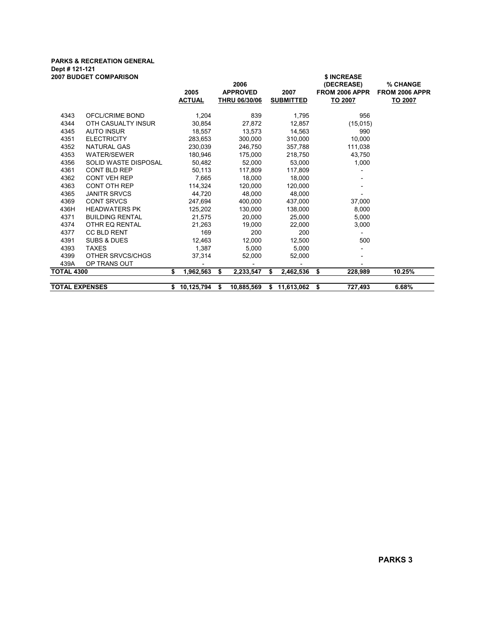## PARKS & RECREATION GENERAL Dept # 121-121

|                       | 2007 BUDGET COMPARISON      | 2005<br><b>ACTUAL</b> |      | 2006<br><b>APPROVED</b><br><b>THRU 06/30/06</b> |    | 2007<br><b>SUBMITTED</b> | \$ INCREASE<br>(DECREASE)<br><b>FROM 2006 APPR</b><br><u>TO 2007</u> | % CHANGE<br>FROM 2006 APPR<br>TO 2007 |
|-----------------------|-----------------------------|-----------------------|------|-------------------------------------------------|----|--------------------------|----------------------------------------------------------------------|---------------------------------------|
| 4343                  | OFCL/CRIME BOND             | 1,204                 |      | 839                                             |    | 1,795                    | 956                                                                  |                                       |
| 4344                  | OTH CASUALTY INSUR          | 30,854                |      | 27,872                                          |    | 12,857                   | (15, 015)                                                            |                                       |
| 4345                  | <b>AUTO INSUR</b>           | 18,557                |      | 13,573                                          |    | 14,563                   | 990                                                                  |                                       |
| 4351                  | <b>ELECTRICITY</b>          | 283,653               |      | 300.000                                         |    | 310,000                  | 10,000                                                               |                                       |
| 4352                  | NATURAL GAS                 | 230,039               |      | 246,750                                         |    | 357,788                  | 111,038                                                              |                                       |
| 4353                  | <b>WATER/SEWER</b>          | 180,946               |      | 175,000                                         |    | 218,750                  | 43,750                                                               |                                       |
| 4356                  | <b>SOLID WASTE DISPOSAL</b> | 50,482                |      | 52.000                                          |    | 53.000                   | 1.000                                                                |                                       |
| 4361                  | <b>CONT BLD REP</b>         | 50,113                |      | 117,809                                         |    | 117,809                  |                                                                      |                                       |
| 4362                  | CONT VEH REP                | 7,665                 |      | 18,000                                          |    | 18,000                   |                                                                      |                                       |
| 4363                  | <b>CONT OTH REP</b>         | 114,324               |      | 120,000                                         |    | 120.000                  |                                                                      |                                       |
| 4365                  | <b>JANITR SRVCS</b>         | 44,720                |      | 48,000                                          |    | 48,000                   |                                                                      |                                       |
| 4369                  | <b>CONT SRVCS</b>           | 247,694               |      | 400,000                                         |    | 437,000                  | 37,000                                                               |                                       |
| 436H                  | <b>HEADWATERS PK</b>        | 125,202               |      | 130,000                                         |    | 138,000                  | 8,000                                                                |                                       |
| 4371                  | <b>BUILDING RENTAL</b>      | 21,575                |      | 20,000                                          |    | 25,000                   | 5,000                                                                |                                       |
| 4374                  | OTHR EQ RENTAL              | 21,263                |      | 19,000                                          |    | 22,000                   | 3.000                                                                |                                       |
| 4377                  | <b>CC BLD RENT</b>          | 169                   |      | 200                                             |    | 200                      |                                                                      |                                       |
| 4391                  | <b>SUBS &amp; DUES</b>      | 12.463                |      | 12,000                                          |    | 12,500                   | 500                                                                  |                                       |
| 4393                  | <b>TAXES</b>                | 1,387                 |      | 5.000                                           |    | 5.000                    |                                                                      |                                       |
| 4399                  | OTHER SRVCS/CHGS            | 37,314                |      | 52,000                                          |    | 52,000                   |                                                                      |                                       |
| 439A                  | OP TRANS OUT                |                       |      |                                                 |    |                          |                                                                      |                                       |
| <b>TOTAL 4300</b>     |                             | 1,962,563<br>\$       | \$   | 2,233,547                                       | \$ | 2,462,536                | 228,989<br>- \$                                                      | 10.25%                                |
|                       |                             |                       |      |                                                 |    |                          |                                                                      |                                       |
| <b>TOTAL EXPENSES</b> |                             | 10,125,794            | - \$ | 10,885,569                                      | S. | 11,613,062               | 727,493<br>\$                                                        | 6.68%                                 |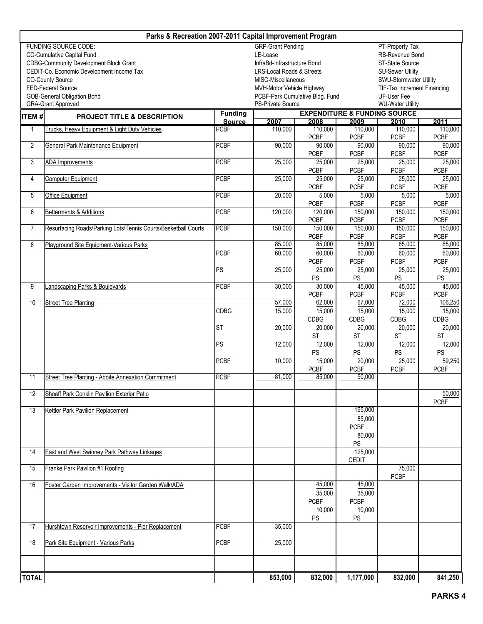| Parks & Recreation 2007-2011 Capital Improvement Program |                                                                |                |                                                                                                                   |                       |                       |                       |                       |  |  |  |  |  |  |
|----------------------------------------------------------|----------------------------------------------------------------|----------------|-------------------------------------------------------------------------------------------------------------------|-----------------------|-----------------------|-----------------------|-----------------------|--|--|--|--|--|--|
|                                                          | <b>FUNDING SOURCE CODE:</b>                                    |                | <b>GRP-Grant Pending</b>                                                                                          |                       |                       | PT-Property Tax       |                       |  |  |  |  |  |  |
|                                                          | CC-Cumulative Capital Fund                                     |                | LE-Lease<br>RB-Revenue Bond                                                                                       |                       |                       |                       |                       |  |  |  |  |  |  |
|                                                          | <b>CDBG-Community Development Block Grant</b>                  |                | InfraBd-Infrastructure Bond<br>ST-State Source                                                                    |                       |                       |                       |                       |  |  |  |  |  |  |
|                                                          | CEDIT-Co. Economic Development Income Tax                      |                | LRS-Local Roads & Streets<br><b>SU-Sewer Utility</b><br>MISC-Miscellaneous<br>SWU-Stormwater Utility              |                       |                       |                       |                       |  |  |  |  |  |  |
|                                                          | <b>CO-County Source</b>                                        |                |                                                                                                                   |                       |                       |                       |                       |  |  |  |  |  |  |
|                                                          | FED-Federal Source<br>GOB-General Obligation Bond              |                | <b>TIF-Tax Increment Financing</b><br>MVH-Motor Vehicle Highway<br>PCBF-Park Cumulative Bldg. Fund<br>UF-User Fee |                       |                       |                       |                       |  |  |  |  |  |  |
|                                                          | <b>GRA-Grant Approved</b>                                      |                | PS-Private Source<br><b>WU-Water Utility</b>                                                                      |                       |                       |                       |                       |  |  |  |  |  |  |
|                                                          |                                                                | <b>Funding</b> | <b>EXPENDITURE &amp; FUNDING SOURCE</b>                                                                           |                       |                       |                       |                       |  |  |  |  |  |  |
| ITEM#                                                    | <b>PROJECT TITLE &amp; DESCRIPTION</b>                         | <b>Source</b>  | 2007                                                                                                              | 2008                  | 2009                  | 2010<br>2011          |                       |  |  |  |  |  |  |
| 1                                                        | Trucks, Heavy Equipment & Light Duty Vehicles                  | <b>PCBF</b>    | 110,000                                                                                                           | 110,000               | 110,000               | 110,000               | 110,000               |  |  |  |  |  |  |
|                                                          |                                                                |                |                                                                                                                   | <b>PCBF</b>           | <b>PCBF</b>           | <b>PCBF</b>           | <b>PCBF</b>           |  |  |  |  |  |  |
| 2                                                        | General Park Maintenance Equipment                             | <b>PCBF</b>    | 90,000                                                                                                            | 90,000                | 90,000                | 90,000                | 90,000                |  |  |  |  |  |  |
|                                                          |                                                                | <b>PCBF</b>    |                                                                                                                   | <b>PCBF</b>           | <b>PCBF</b>           | <b>PCBF</b>           | <b>PCBF</b>           |  |  |  |  |  |  |
| 3                                                        | <b>ADA</b> Improvements                                        |                | 25,000                                                                                                            | 25,000<br><b>PCBF</b> | 25,000<br><b>PCBF</b> | 25,000<br><b>PCBF</b> | 25,000<br><b>PCBF</b> |  |  |  |  |  |  |
| 4                                                        | <b>Computer Equipment</b>                                      | <b>PCBF</b>    | 25,000                                                                                                            | 25,000                | 25,000                | 25,000                | 25,000                |  |  |  |  |  |  |
|                                                          |                                                                |                |                                                                                                                   | <b>PCBF</b>           | <b>PCBF</b>           | <b>PCBF</b>           | <b>PCBF</b>           |  |  |  |  |  |  |
| 5                                                        | <b>Office Equipment</b>                                        | <b>PCBF</b>    | 20,000                                                                                                            | 5,000                 | 5,000                 | 5,000                 | 5,000                 |  |  |  |  |  |  |
|                                                          |                                                                |                |                                                                                                                   | <b>PCBF</b>           | <b>PCBF</b>           | <b>PCBF</b>           | <b>PCBF</b>           |  |  |  |  |  |  |
| 6                                                        | Betterments & Additions                                        | <b>PCBF</b>    | 120,000                                                                                                           | 120,000               | 150,000               | 150,000               | 150,000               |  |  |  |  |  |  |
|                                                          |                                                                |                |                                                                                                                   | <b>PCBF</b>           | <b>PCBF</b>           | <b>PCBF</b>           | <b>PCBF</b>           |  |  |  |  |  |  |
| $\overline{7}$                                           | Resurfacing Roads\Parking Lots\Tennis Courts\Basketball Courts | <b>PCBF</b>    | 150,000                                                                                                           | 150,000               | 150,000               | 150,000               | 150,000               |  |  |  |  |  |  |
|                                                          |                                                                |                |                                                                                                                   | <b>PCBF</b>           | <b>PCBF</b>           | <b>PCBF</b>           | <b>PCBF</b>           |  |  |  |  |  |  |
| 8                                                        | Playground Site Equipment-Various Parks                        |                | 85,000                                                                                                            | 85,000                | 85,000                | 85,000                | 85,000                |  |  |  |  |  |  |
|                                                          |                                                                | <b>PCBF</b>    | 60,000                                                                                                            | 60,000                | 60,000                | 60,000                | 60,000                |  |  |  |  |  |  |
|                                                          |                                                                | PS             |                                                                                                                   | <b>PCBF</b>           | <b>PCBF</b>           | <b>PCBF</b>           | <b>PCBF</b>           |  |  |  |  |  |  |
|                                                          |                                                                |                | 25,000                                                                                                            | 25,000<br>PS          | 25,000<br>PS          | 25,000<br>PS          | 25,000<br>PS          |  |  |  |  |  |  |
| 9                                                        | andscaping Parks & Boulevards                                  | <b>PCBF</b>    | 30,000                                                                                                            | 30,000                | 45,000                | 45,000                | 45,000                |  |  |  |  |  |  |
|                                                          |                                                                |                |                                                                                                                   | <b>PCBF</b>           | <b>PCBF</b>           | <b>PCBF</b>           | <b>PCBF</b>           |  |  |  |  |  |  |
| 10                                                       | <b>Street Tree Planting</b>                                    |                | 57,000                                                                                                            | 62,000                | 67,000                | 72,000                | 106,250               |  |  |  |  |  |  |
|                                                          |                                                                | <b>CDBG</b>    | 15,000                                                                                                            | 15,000                | 15,000                | 15,000                | 15,000                |  |  |  |  |  |  |
|                                                          |                                                                |                |                                                                                                                   | <b>CDBG</b>           | <b>CDBG</b>           | <b>CDBG</b>           | <b>CDBG</b>           |  |  |  |  |  |  |
|                                                          |                                                                | <b>ST</b>      | 20,000                                                                                                            | 20,000                | 20,000                | 20,000                | 20,000                |  |  |  |  |  |  |
|                                                          |                                                                |                |                                                                                                                   | <b>ST</b>             | <b>ST</b>             | <b>ST</b>             | <b>ST</b>             |  |  |  |  |  |  |
|                                                          |                                                                | PS             | 12,000                                                                                                            | 12,000                | 12,000                | 12,000                | 12,000                |  |  |  |  |  |  |
|                                                          |                                                                |                |                                                                                                                   | PS                    | PS                    | PS                    | PS                    |  |  |  |  |  |  |
|                                                          |                                                                | <b>PCBF</b>    | 10,000                                                                                                            | 15,000<br><b>PCBF</b> | 20,000<br><b>PCBF</b> | 25,000<br><b>PCBF</b> | 59,250<br><b>PCBF</b> |  |  |  |  |  |  |
| 11                                                       | Street Tree Planting - Aboite Annexation Commitment            | <b>PCBF</b>    | 81,000                                                                                                            | 85,000                | 90,000                |                       |                       |  |  |  |  |  |  |
|                                                          |                                                                |                |                                                                                                                   |                       |                       |                       |                       |  |  |  |  |  |  |
| 12                                                       | Shoaff Park Conklin Pavilion Exterior Patio                    |                |                                                                                                                   |                       |                       |                       | 50,000                |  |  |  |  |  |  |
|                                                          |                                                                |                |                                                                                                                   |                       |                       |                       | <b>PCBF</b>           |  |  |  |  |  |  |
| 13                                                       | Kettler Park Pavilion Replacement                              |                |                                                                                                                   |                       | 165,000               |                       |                       |  |  |  |  |  |  |
|                                                          |                                                                |                |                                                                                                                   |                       | 85,000                |                       |                       |  |  |  |  |  |  |
|                                                          |                                                                |                |                                                                                                                   |                       | <b>PCBF</b>           |                       |                       |  |  |  |  |  |  |
|                                                          |                                                                |                |                                                                                                                   |                       | 80,000                |                       |                       |  |  |  |  |  |  |
|                                                          |                                                                |                |                                                                                                                   |                       | PS                    |                       |                       |  |  |  |  |  |  |
| 14                                                       | <b>East and West Swinney Park Pathway Linkages</b>             |                |                                                                                                                   |                       | 125,000               |                       |                       |  |  |  |  |  |  |
| 15                                                       | Franke Park Pavilion #1 Roofing                                |                |                                                                                                                   |                       | <b>CEDIT</b>          | 75,000                |                       |  |  |  |  |  |  |
|                                                          |                                                                |                |                                                                                                                   |                       |                       | <b>PCBF</b>           |                       |  |  |  |  |  |  |
| 16                                                       | Foster Garden Improvements - Visitor Garden Walk\ADA           |                |                                                                                                                   | 45,000                | 45,000                |                       |                       |  |  |  |  |  |  |
|                                                          |                                                                |                |                                                                                                                   | 35,000                | 35,000                |                       |                       |  |  |  |  |  |  |
|                                                          |                                                                |                |                                                                                                                   | <b>PCBF</b>           | <b>PCBF</b>           |                       |                       |  |  |  |  |  |  |
|                                                          |                                                                |                |                                                                                                                   | 10,000                | 10,000                |                       |                       |  |  |  |  |  |  |
|                                                          |                                                                |                |                                                                                                                   | <b>PS</b>             | <b>PS</b>             |                       |                       |  |  |  |  |  |  |
| 17                                                       | Hurshtown Reservoir Improvements - Pier Replacement            | <b>PCBF</b>    | 35,000                                                                                                            |                       |                       |                       |                       |  |  |  |  |  |  |
|                                                          |                                                                |                |                                                                                                                   |                       |                       |                       |                       |  |  |  |  |  |  |
| 18                                                       | Park Site Equipment - Various Parks                            | <b>PCBF</b>    | 25,000                                                                                                            |                       |                       |                       |                       |  |  |  |  |  |  |
|                                                          |                                                                |                |                                                                                                                   |                       |                       |                       |                       |  |  |  |  |  |  |
|                                                          |                                                                |                |                                                                                                                   |                       |                       |                       |                       |  |  |  |  |  |  |
| <b>TOTAL</b>                                             |                                                                |                | 853,000                                                                                                           | 832,000               | 1,177,000             | 832,000               | 841,250               |  |  |  |  |  |  |
|                                                          |                                                                |                |                                                                                                                   |                       |                       |                       |                       |  |  |  |  |  |  |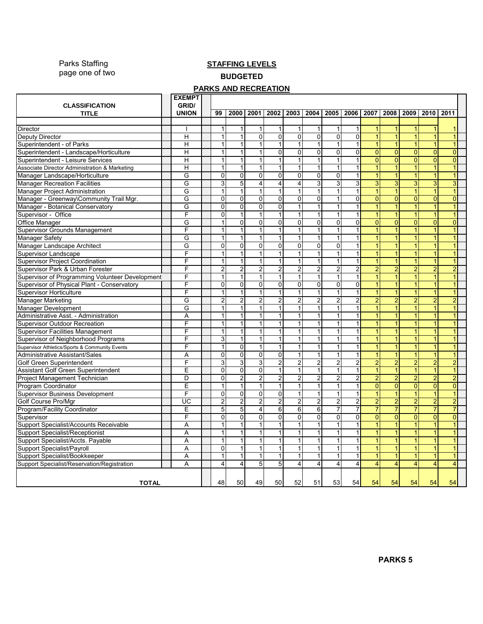Parks Staffing page one of two

### **STAFFING LEVELS** BUDGETED

#### **PARKS AND RECREATION**

| <b>CLASSIFICATION</b>                                                           | <b>EXEMPT</b><br>GRID/<br><b>UNION</b> | 99             | 2000                    | 2001                           | 2002                    | 2003                    | 2004                         | 2005                    | 2006                    | 2007                    | 2008           | 2009                | 2010           | 2011           |  |
|---------------------------------------------------------------------------------|----------------------------------------|----------------|-------------------------|--------------------------------|-------------------------|-------------------------|------------------------------|-------------------------|-------------------------|-------------------------|----------------|---------------------|----------------|----------------|--|
| <b>TITLE</b>                                                                    |                                        |                |                         |                                |                         |                         |                              |                         |                         |                         |                |                     |                |                |  |
| Director                                                                        |                                        | $\mathbf{1}$   | 1                       | $\mathbf{1}$                   | $\mathbf{1}$            | 1                       | $\mathbf{1}$                 | 1                       | $\mathbf{1}$            | $\mathbf{1}$            | $\mathbf{1}$   | 1                   |                |                |  |
| Deputy Director                                                                 | Η                                      | 1              | 1                       | $\overline{0}$                 | $\overline{0}$          | $\overline{0}$          | $\overline{0}$               | O                       | $\overline{0}$          | $\mathbf{1}$            | $\mathbf{1}$   | 1                   |                |                |  |
| Superintendent - of Parks                                                       | H                                      | $\mathbf{1}$   | $\mathbf{1}$            | $\mathbf{1}$                   | $\mathbf{1}$            | $\vert$ 1               | $\mathbf{1}$                 | $\mathbf{1}$            | $\mathbf{1}$            | $\overline{1}$          | $\mathbf{1}$   | $\overline{1}$      |                |                |  |
| Superintendent - Landscape/Horticulture                                         | H                                      | 1              | 1                       | $\mathbf{1}$                   | $\overline{0}$          | $\overline{0}$          | $\overline{0}$               | $\mathbf 0$             | $\overline{0}$          | $\overline{0}$          | $\overline{0}$ | $\mathbf 0$         | $\mathbf{0}$   | $\overline{0}$ |  |
| Superintendent - Leisure Services                                               | Η                                      | 1              | 1                       | $\mathbf{1}$                   | $\mathbf{1}$            | 1                       | $\mathbf{1}$                 | 1                       | $\mathbf{1}$            | $\overline{0}$          | $\overline{0}$ | $\overline{0}$      | $\overline{0}$ | $\overline{0}$ |  |
|                                                                                 | H                                      | 1              | 1                       | 1                              | 1                       | 1                       | $\mathbf{1}$                 | $\mathbf 1$             | $\mathbf{1}$            | $\mathbf{1}$            | $\mathbf{1}$   | $\mathbf{1}$        |                |                |  |
| Associate Director Administration & Marketing<br>Manager Landscape/Horticulture | G                                      | 0              | 0                       | $\overline{0}$                 | $\overline{0}$          | $\Omega$                | $\overline{0}$               | $\mathbf 0$             | $\mathbf{1}$            | $\mathbf{1}$            | $\mathbf{1}$   | $\overline{1}$      |                |                |  |
|                                                                                 | G                                      | 3              | 5                       | $\overline{4}$                 | $\overline{4}$          | $\overline{4}$          | $\overline{3}$               | 3                       | 3                       | 3                       | 3              |                     | 3              | 3              |  |
| <b>Manager Recreation Facilities</b><br><b>Manager Project Administration</b>   | G                                      | $\mathbf{1}$   | $\mathbf{1}$            | $\mathbf{1}$                   | $\mathbf{1}$            | $\mathbf{1}$            | $\mathbf{1}$                 | 1                       | $\mathbf{1}$            | $\mathbf{1}$            | 1              | 3<br>$\overline{1}$ |                |                |  |
|                                                                                 | G                                      | $\mathbf 0$    | 0                       | $\overline{0}$                 | $\mathbf 0$             | $\overline{0}$          | $\mathbf 0$                  |                         | 0                       | $\overline{0}$          | $\mathbf{0}$   | $\mathbf 0$         | $\mathbf{0}$   | $\overline{0}$ |  |
| Manager - Greenway\Community Trail Mgr.                                         |                                        | $\Omega$       |                         |                                |                         | $\mathbf{1}$            |                              | 1                       | 1                       | $\mathbf{1}$            |                |                     |                |                |  |
| Manager - Botanical Conservatory                                                | G<br>F                                 | $\mathbf{0}$   | 0<br>1                  | $\overline{0}$<br>$\mathbf{1}$ | $\overline{0}$<br>1     | $\mathbf{1}$            | $\mathbf{1}$<br>$\mathbf{1}$ |                         |                         |                         |                |                     |                |                |  |
| Supervisor - Office                                                             | G                                      |                | $\overline{0}$          | $\overline{0}$                 | $\overline{\mathbf{0}}$ | $\overline{0}$          | $\overline{0}$               | $\mathbf 0$             | $\overline{0}$          | $\overline{0}$          | $\mathbf{0}$   | $\overline{0}$      | $\Omega$       | $\overline{0}$ |  |
| Office Manager                                                                  | F                                      |                | 1                       | $\mathbf{1}$                   |                         | $\mathbf{1}$            | $\mathbf{1}$                 |                         |                         |                         |                |                     |                |                |  |
| Supervisor Grounds Management                                                   | G                                      |                | 1                       | $\mathbf{1}$                   | 1<br>$\mathbf{1}$       | 1                       |                              | 1                       | $\mathbf{1}$            | $\overline{1}$          |                |                     |                |                |  |
| Manager Safety                                                                  |                                        |                |                         |                                |                         |                         | $\mathbf{1}$                 |                         |                         |                         |                |                     |                |                |  |
| Manager Landscape Architect                                                     | G                                      | $\mathbf 0$    | 0                       | $\Omega$<br>$\mathbf{1}$       | $\overline{0}$          | $\Omega$                | $\Omega$                     | $\Omega$                | $\mathbf{1}$            | $\mathbf{1}$            | 1              |                     |                |                |  |
| Supervisor Landscape                                                            | F                                      | $\mathbf 1$    | $\mathbf{1}$            |                                | $\mathbf{1}$            | $\vert$ 1               | 1                            | $\mathbf 1$             | $\mathbf{1}$            | $\mathbf{1}$            |                | $\overline{1}$      |                |                |  |
| <b>Supervisor Project Coordination</b>                                          | F                                      | $\mathbf{1}$   | $\mathbf{1}$            | $\mathbf{1}$                   | $\mathbf{1}$            | 1                       | $\mathbf{1}$                 | 1                       | $\mathbf{1}$            | $\mathbf{1}$            | 1              | $\overline{1}$      |                |                |  |
| Supervisor Park & Urban Forester                                                | F                                      | $\overline{2}$ | $\overline{2}$          | $\overline{2}$                 | $\overline{2}$          | $\overline{2}$          | $\overline{a}$               | $\overline{2}$          | $\overline{c}$          | $\overline{2}$          | $\overline{2}$ | $\overline{2}$      | $\overline{2}$ | $\overline{2}$ |  |
| Supervisor of Programming Volunteer Development                                 | F                                      | $\mathbf{1}$   | $\mathbf{1}$            | $\mathbf{1}$                   | $\mathbf{1}$            | $\vert$ 1               | $\mathbf{1}$                 | $\overline{1}$          | $\mathbf{1}$            | $\mathbf{1}$            | 1              | $\overline{1}$      |                |                |  |
| Supervisor of Physical Plant - Conservatory                                     | F                                      | $\mathbf 0$    | $\overline{0}$          | $\overline{0}$                 | $\overline{0}$          | $\overline{0}$          | $\overline{0}$               | $\mathbf 0$             | $\mathbf 0$             | $\mathbf{1}$            | 1              | $\overline{1}$      |                |                |  |
| <b>Supervisor Horticulture</b>                                                  | F                                      | $\mathbf 1$    | $\mathbf{1}$            | $\mathbf{1}$                   | $\mathbf{1}$            | $\vert$                 | $\mathbf{1}$                 | 1                       | $\mathbf{1}$            | $\mathbf{1}$            | $\mathbf{1}$   | $\overline{1}$      |                |                |  |
| <b>Manager Marketing</b>                                                        | G                                      | $\overline{2}$ | $\overline{\mathbf{c}}$ | $\overline{2}$                 | 2                       | $\overline{2}$          | $\overline{c}$               | $\overline{2}$          | $\overline{c}$          | $\overline{2}$          | $\overline{2}$ | $\overline{2}$      | $\overline{2}$ | $\overline{2}$ |  |
| Manager Development                                                             | G                                      | 1              | 1                       | $\mathbf{1}$                   | $\overline{1}$          | 1                       | $\overline{1}$               | 1                       | $\mathbf{1}$            | $\mathbf{1}$            | $\mathbf{1}$   | $\overline{1}$      |                |                |  |
| Administrative Asst. - Administration                                           | A                                      | $\mathbf{1}$   | 1                       | $\mathbf{1}$                   | $\mathbf{1}$            | 1                       | $\mathbf{1}$                 | 1                       | $\mathbf{1}$            | $\mathbf{1}$            | $\mathbf{1}$   | $\overline{1}$      |                |                |  |
| <b>Supervisor Outdoor Recreation</b>                                            | F                                      | $\mathbf{1}$   | 1                       | $\overline{1}$                 | $\mathbf{1}$            | 1                       | $\mathbf{1}$                 | $\overline{1}$          | $\mathbf{1}$            | $\mathbf{1}$            | $\mathbf{1}$   | $\overline{1}$      | 1              |                |  |
| <b>Supervisor Facilities Management</b>                                         | F                                      | 1              | $\mathbf{1}$            | $\mathbf{1}$                   | 1                       | 1                       | $\mathbf{1}$                 | -1                      | $\mathbf{1}$            | 1                       | $\mathbf{1}$   | $\overline{1}$      |                |                |  |
| Supervisor of Neighborhood Programs                                             | F                                      | 3              | $\mathbf{1}$            | $\mathbf{1}$                   | $\mathbf{1}$            | 1                       | $\mathbf{1}$                 | 1                       | $\mathbf{1}$            | $\overline{1}$          | $\mathbf{1}$   | $\overline{1}$      |                |                |  |
| Supervisor Athletics/Sports & Community Events                                  | F                                      | 1              | $\mathbf 0$             | $\mathbf{1}$                   | $\mathbf{1}$            | 1                       | $\mathbf{1}$                 | 1                       | $\mathbf{1}$            | $\mathbf{1}$            | 1              | 1                   |                |                |  |
| Administrative Assistant/Sales                                                  | Α                                      | $\Omega$       | $\mathbf 0$             | $\Omega$                       | $\overline{0}$          | 1                       | $\mathbf{1}$                 | $\mathbf{1}$            | $\mathbf{1}$            | $\mathbf{1}$            | $\mathbf{1}$   | $\overline{1}$      |                |                |  |
| Golf Green Superintendent                                                       | F                                      | 3              | 3                       | 3                              | $\overline{2}$          | $\overline{2}$          | $\overline{c}$               | $\overline{2}$          | $\overline{c}$          | $\overline{a}$          | $\overline{2}$ | $\overline{a}$      | $\overline{2}$ | $\overline{2}$ |  |
| Assistant Golf Green Superintendent                                             | E                                      | $\mathbf 0$    | $\overline{0}$          | $\overline{0}$                 | $\mathbf{1}$            | 1                       | $\mathbf{1}$                 | $\mathbf 1$             | $\mathbf{1}$            | 1                       | $\mathbf{1}$   | $\mathbf{1}$        |                |                |  |
| Project Management Technician                                                   | D                                      | $\Omega$       | $\overline{c}$          | $\overline{c}$                 | $\overline{c}$          | $\overline{2}$          | 2                            | $\overline{2}$          | $\overline{c}$          | $\overline{2}$          | $\overline{2}$ | $\overline{a}$      | 2              | $\overline{2}$ |  |
| Program Coordinator                                                             | E                                      | 1              | $\mathbf{1}$            | $\mathbf{1}$                   | $\mathbf{1}$            | $\mathbf{1}$            | $\mathbf{1}$                 |                         | $\mathbf{1}$            | $\overline{0}$          | $\overline{0}$ | $\overline{0}$      | $\mathbf{0}$   | $\overline{0}$ |  |
| <b>Supervisor Business Development</b>                                          | F                                      | $\mathbf{0}$   | 0                       | $\mathbf 0$                    | $\mathbf{0}$            | $\mathbf{1}$            | 1                            |                         |                         |                         |                |                     |                |                |  |
| Golf Course Pro/Mgr                                                             | UC                                     | $\overline{c}$ | $\overline{c}$          | $\overline{2}$                 | 2                       | $\overline{2}$          | $\overline{2}$               | $\overline{\mathbf{c}}$ | $\overline{\mathbf{c}}$ | $\overline{2}$          | $\overline{2}$ | $\overline{2}$      | 2              | $\overline{2}$ |  |
| Program/Facility Coordinator                                                    | E                                      | 5              | 5                       | $\overline{4}$                 | $6\overline{6}$         | 6                       | 6                            | 7                       | $\overline{7}$          | $\overline{7}$          |                | $\overline{7}$      |                |                |  |
| Supervisor                                                                      | F                                      | $\Omega$       | $\overline{0}$          | $\overline{0}$                 | $\overline{\mathsf{o}}$ | $\Omega$                | $\overline{0}$               | $\mathbf 0$             | $\overline{0}$          | $\overline{0}$          | $\overline{0}$ | $\mathbf 0$         | $\overline{0}$ | $\overline{0}$ |  |
| Support Specialist/Accounts Receivable                                          | A                                      |                | 1                       | $\mathbf{1}$                   | 1                       | 1                       | $\mathbf{1}$                 |                         |                         |                         |                |                     |                |                |  |
| <b>Support Specialist/Receptionist</b>                                          | A                                      |                | 1                       | $\mathbf{1}$                   | $\mathbf{1}$            | 1                       | $\mathbf{1}$                 |                         | $\mathbf{1}$            | $\vert$                 |                | $\overline{1}$      |                |                |  |
| Support Specialist/Accts. Payable                                               | A                                      |                | 1                       | $\mathbf{1}$                   | $\mathbf{1}$            | 1                       | $\mathbf{1}$                 |                         | $\mathbf{1}$            | $\overline{1}$          |                |                     |                |                |  |
| Support Specialist/Payroll                                                      | A                                      | 0              | 1                       | $\mathbf{1}$                   | $\mathbf{1}$            | 1                       | $\mathbf{1}$                 | 1                       | $\mathbf{1}$            | 1                       | 1              | $\overline{1}$      |                |                |  |
| Support Specialist/Bookkeeper                                                   | A                                      | $\mathbf{1}$   | 1                       | $\overline{1}$                 | $\overline{1}$          | $\overline{1}$          | $\overline{1}$               | 1                       | $\mathbf{1}$            | $\mathbf{1}$            | 1              | $\overline{1}$      |                |                |  |
| Support Specialist/Reservation/Registration                                     | A                                      | 4              | 4                       | 5                              | $5\overline{)}$         | $\overline{\mathbf{4}}$ | $\overline{4}$               | $\overline{4}$          | $\overline{4}$          | $\overline{\mathbf{4}}$ | $\overline{4}$ | $\overline{4}$      | $\overline{4}$ | 4              |  |
| <b>TOTAL</b>                                                                    |                                        | 48             | 50                      | 49                             | 50                      | 52                      | 51                           | 53                      | 54                      | 54                      | 54             | 54                  | 54             | 54             |  |